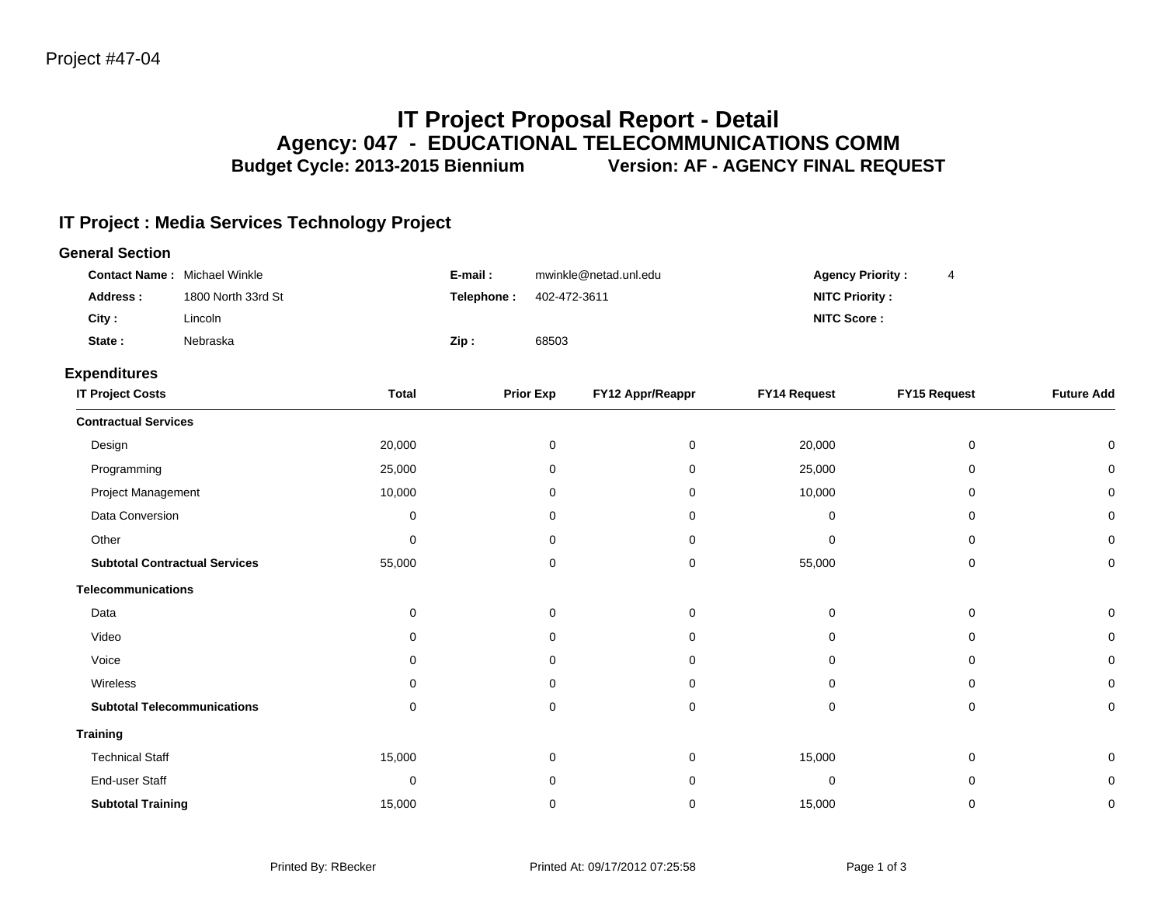**Training**

# **IT Project Proposal Report - Detail Agency: 047 - EDUCATIONAL TELECOMMUNICATIONS COMM** Budget Cycle: 2013-2015 Biennium **Version: AF - AGENCY FINAL REQUEST**

# **IT Project : Media Services Technology Project**

| <b>General Section</b>               |                    |              |            |                       |                  |                         |              |                   |
|--------------------------------------|--------------------|--------------|------------|-----------------------|------------------|-------------------------|--------------|-------------------|
| <b>Contact Name:</b> Michael Winkle  |                    |              | E-mail:    | mwinkle@netad.unl.edu |                  | <b>Agency Priority:</b> |              |                   |
| <b>Address:</b>                      | 1800 North 33rd St |              | Telephone: | 402-472-3611          |                  | <b>NITC Priority:</b>   |              |                   |
| City:                                | Lincoln            |              |            |                       |                  | <b>NITC Score:</b>      |              |                   |
| State:                               | Nebraska           |              | Zip:       | 68503                 |                  |                         |              |                   |
| <b>Expenditures</b>                  |                    |              |            |                       |                  |                         |              |                   |
| <b>IT Project Costs</b>              |                    | <b>Total</b> |            | <b>Prior Exp</b>      | FY12 Appr/Reappr | <b>FY14 Request</b>     | FY15 Request | <b>Future Add</b> |
| <b>Contractual Services</b>          |                    |              |            |                       |                  |                         |              |                   |
| Design                               |                    | 20,000       |            | 0                     | 0                | 20,000                  | 0            | 0                 |
| Programming                          |                    | 25,000       |            | 0                     | 0                | 25,000                  | 0            | 0                 |
| Project Management                   |                    | 10,000       |            | 0                     | 0                | 10,000                  | 0            | 0                 |
| Data Conversion                      |                    | 0            |            | 0                     | 0                | 0                       | 0            | 0                 |
| Other                                |                    | $\Omega$     |            | $\Omega$              | 0                | 0                       | 0            | 0                 |
| <b>Subtotal Contractual Services</b> |                    | 55,000       |            | 0                     | 0                | 55,000                  | 0            | 0                 |
| <b>Telecommunications</b>            |                    |              |            |                       |                  |                         |              |                   |
| Data                                 |                    | 0            |            | 0                     | 0                | 0                       | 0            | 0                 |
| Video                                |                    | 0            |            | 0                     | 0                | $\mathbf 0$             | 0            | $\mathbf 0$       |
| Voice                                |                    | 0            |            | 0                     | 0                | 0                       | 0            | 0                 |
| Wireless                             |                    | 0            |            | 0                     | 0                | 0                       | 0            | 0                 |

**Subtotal Telecommunications** 0 0 0 0 0 0

Technical Staff 15,000 0 0 15,000 0 0 End-user Staff 0 0 0 0 0 0 **Subtotal Training** 15,000 0 0 15,000 0 0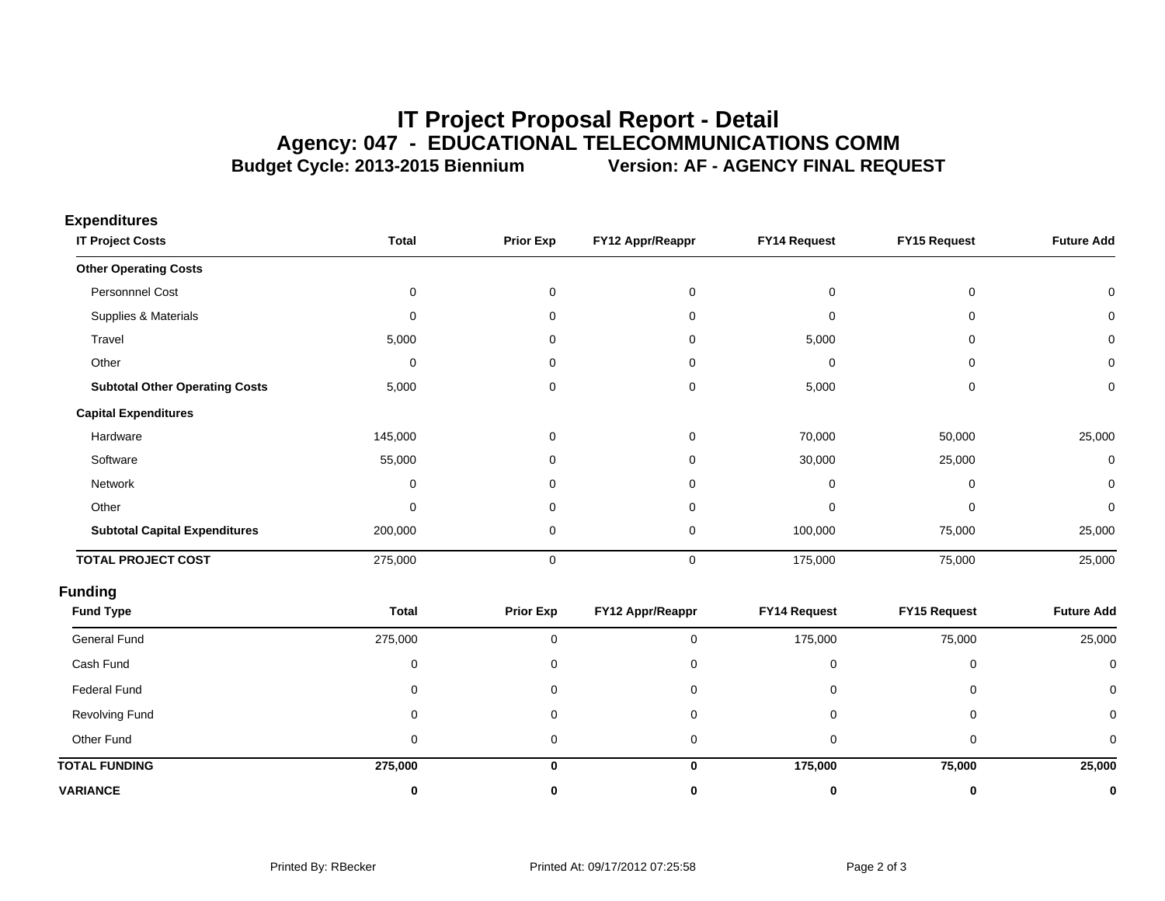# **IT Project Proposal Report - Detail Agency: 047 - EDUCATIONAL TELECOMMUNICATIONS COMM** Budget Cycle: 2013-2015 Biennium **Version: AF - AGENCY FINAL REQUEST**

| Experimental<br><b>IT Project Costs</b> | <b>Total</b> | <b>Prior Exp</b> | FY12 Appr/Reappr | FY14 Request | FY15 Request | <b>Future Add</b> |
|-----------------------------------------|--------------|------------------|------------------|--------------|--------------|-------------------|
| <b>Other Operating Costs</b>            |              |                  |                  |              |              |                   |
| Personnnel Cost                         | 0            | 0                | $\mathbf 0$      | 0            | 0            | 0                 |
| Supplies & Materials                    | 0            | $\Omega$         | $\Omega$         | 0            | $\mathbf 0$  | 0                 |
| Travel                                  | 5,000        | 0                | $\Omega$         | 5,000        | 0            | 0                 |
| Other                                   | 0            | 0                | $\Omega$         | 0            | 0            | 0                 |
| <b>Subtotal Other Operating Costs</b>   | 5,000        | 0                | 0                | 5,000        | 0            | 0                 |
| <b>Capital Expenditures</b>             |              |                  |                  |              |              |                   |
| Hardware                                | 145,000      | 0                | 0                | 70,000       | 50,000       | 25,000            |
| Software                                | 55,000       | 0                | $\Omega$         | 30,000       | 25,000       | 0                 |
| Network                                 | 0            | 0                | $\Omega$         | 0            | 0            | 0                 |
| Other                                   | $\mathbf 0$  | $\Omega$         | $\Omega$         | 0            | $\mathbf 0$  | 0                 |
| <b>Subtotal Capital Expenditures</b>    | 200,000      | 0                | 0                | 100,000      | 75,000       | 25,000            |
| <b>TOTAL PROJECT COST</b>               | 275,000      | 0                | $\mathbf 0$      | 175,000      | 75,000       | 25,000            |
| <b>Funding</b>                          |              |                  |                  |              |              |                   |
| <b>Fund Type</b>                        | <b>Total</b> | <b>Prior Exp</b> | FY12 Appr/Reappr | FY14 Request | FY15 Request | <b>Future Add</b> |
| <b>General Fund</b>                     | 275,000      | $\mathbf 0$      | $\mathbf 0$      | 175,000      | 75,000       | 25,000            |
| Cash Fund                               | 0            | 0                | 0                | $\mathbf 0$  | 0            | $\mathbf 0$       |
| Federal Fund                            | 0            | 0                | 0                | 0            | 0            | $\Omega$          |
| <b>Revolving Fund</b>                   | 0            | 0                | 0                | $\mathbf 0$  | 0            | 0                 |
| Other Fund                              | 0            | 0                | 0                | 0            | 0            | 0                 |
| <b>TOTAL FUNDING</b>                    | 275,000      | $\mathbf{0}$     | $\mathbf 0$      | 175,000      | 75,000       | 25,000            |
| <b>VARIANCE</b>                         | 0            | 0                | $\bf{0}$         | 0            | 0            | 0                 |

**Expenditures**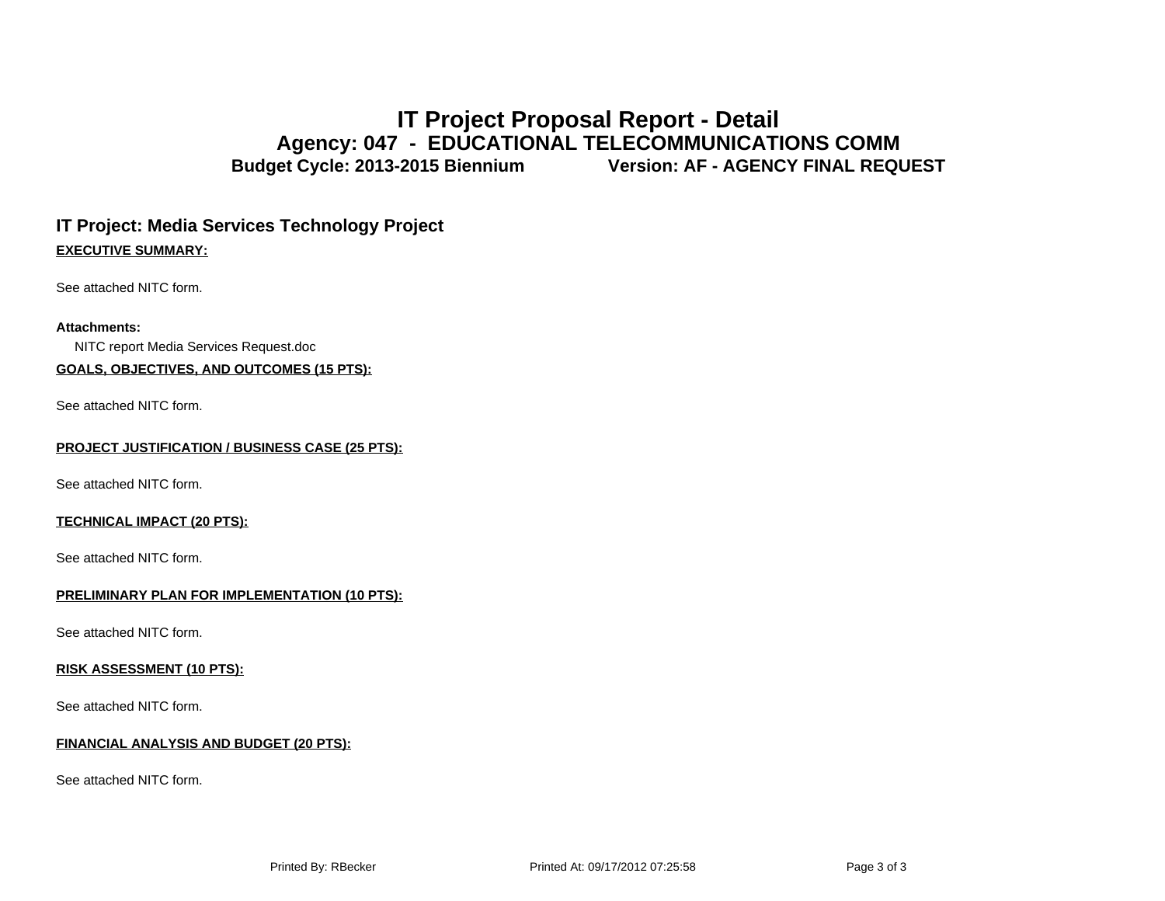# **IT Project Proposal Report - Detail Agency: 047 - EDUCATIONAL TELECOMMUNICATIONS COMM** Budget Cycle: 2013-2015 Biennium **Version: AF - AGENCY FINAL REQUEST**

# **IT Project: Media Services Technology Project EXECUTIVE SUMMARY:**

See attached NITC form.

### **Attachments:**

NITC report Media Services Request.doc

# **GOALS, OBJECTIVES, AND OUTCOMES (15 PTS):**

See attached NITC form.

#### **PROJECT JUSTIFICATION / BUSINESS CASE (25 PTS):**

See attached NITC form.

# **TECHNICAL IMPACT (20 PTS):**

See attached NITC form.

### **PRELIMINARY PLAN FOR IMPLEMENTATION (10 PTS):**

See attached NITC form.

#### **RISK ASSESSMENT (10 PTS):**

See attached NITC form.

### **FINANCIAL ANALYSIS AND BUDGET (20 PTS):**

See attached NITC form.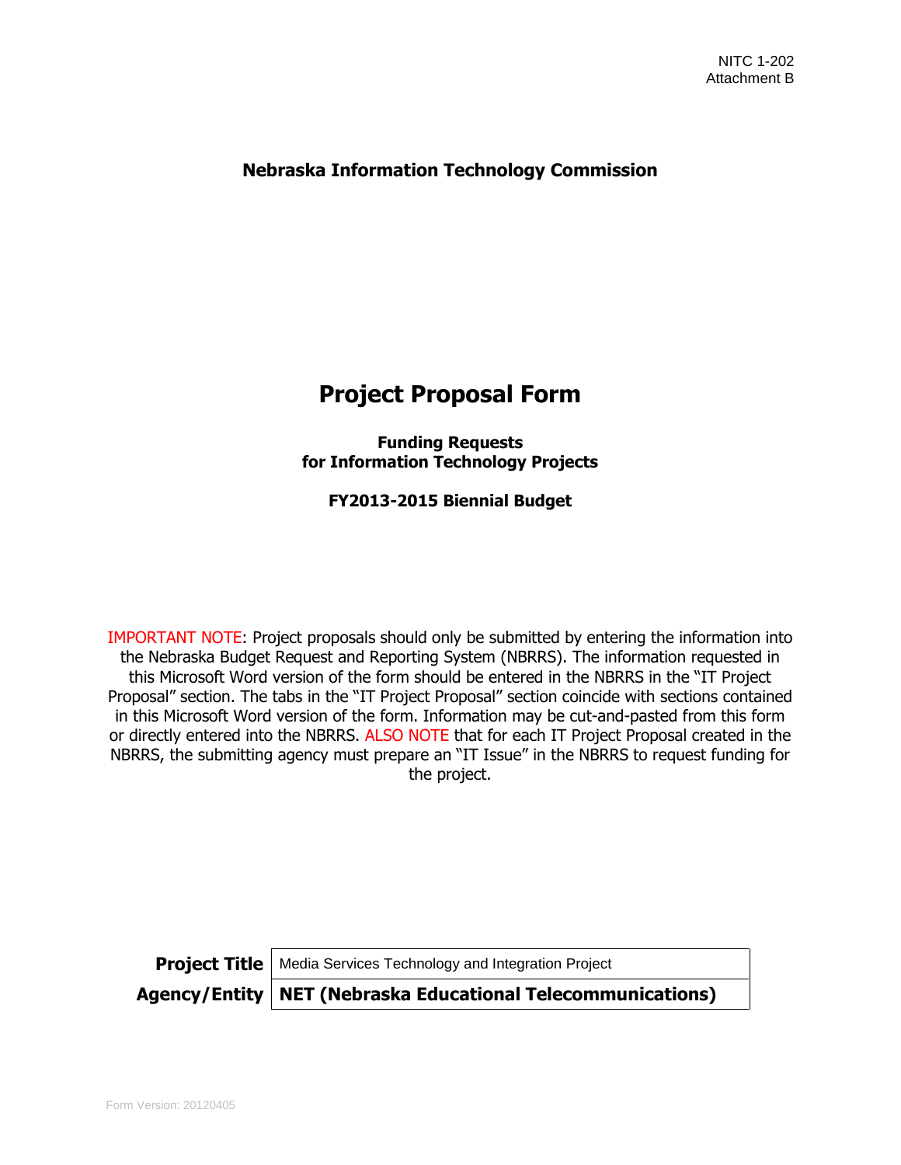# **Nebraska Information Technology Commission**

# **Project Proposal Form**

**Funding Requests for Information Technology Projects**

**FY2013-2015 Biennial Budget**

IMPORTANT NOTE: Project proposals should only be submitted by entering the information into the Nebraska Budget Request and Reporting System (NBRRS). The information requested in this Microsoft Word version of the form should be entered in the NBRRS in the "IT Project Proposal" section. The tabs in the "IT Project Proposal" section coincide with sections contained in this Microsoft Word version of the form. Information may be cut-and-pasted from this form or directly entered into the NBRRS. ALSO NOTE that for each IT Project Proposal created in the NBRRS, the submitting agency must prepare an "IT Issue" in the NBRRS to request funding for the project.

**Project Title** | Media Services Technology and Integration Project

**Agency/Entity NET (Nebraska Educational Telecommunications)**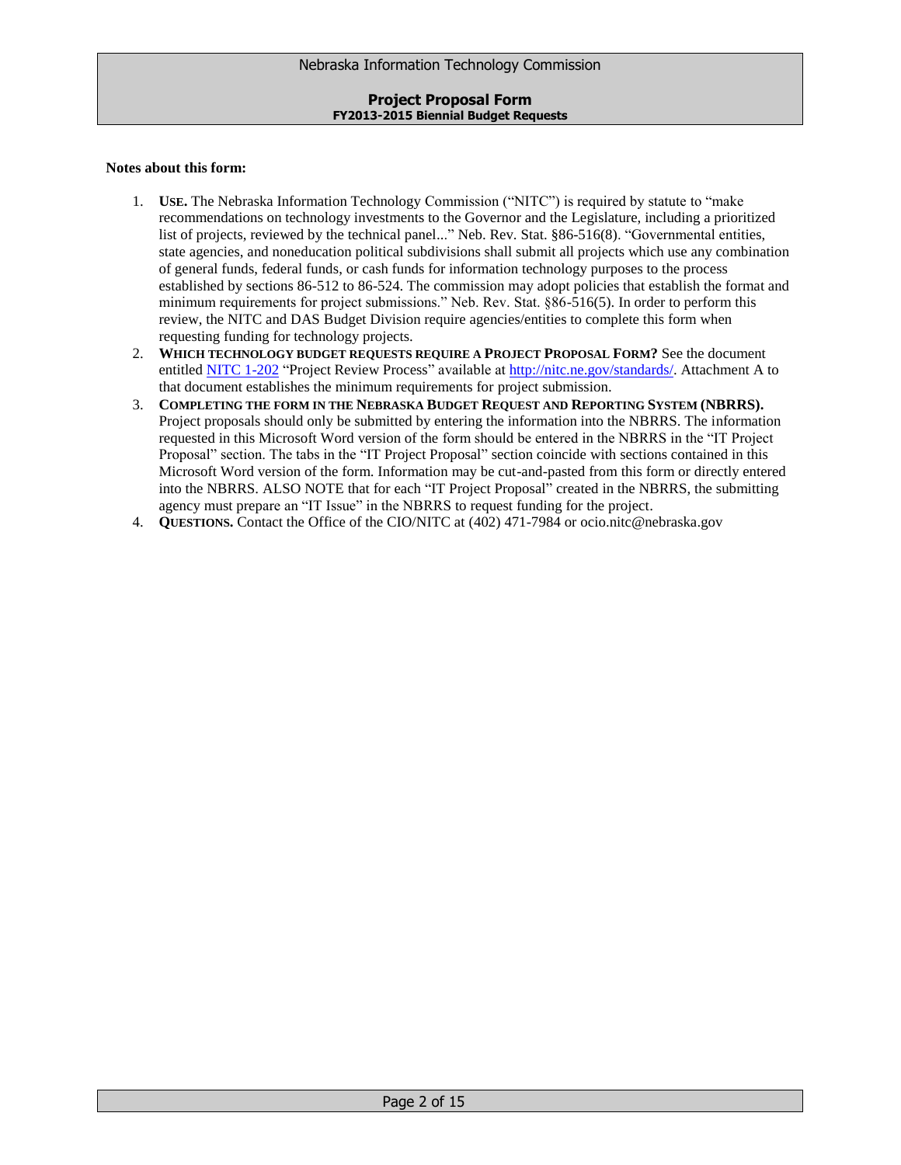#### **Notes about this form:**

- 1. **USE.** The Nebraska Information Technology Commission ("NITC") is required by statute to "make recommendations on technology investments to the Governor and the Legislature, including a prioritized list of projects, reviewed by the technical panel..." Neb. Rev. Stat. §86-516(8). "Governmental entities, state agencies, and noneducation political subdivisions shall submit all projects which use any combination of general funds, federal funds, or cash funds for information technology purposes to the process established by sections 86-512 to 86-524. The commission may adopt policies that establish the format and minimum requirements for project submissions." Neb. Rev. Stat. §86-516(5). In order to perform this review, the NITC and DAS Budget Division require agencies/entities to complete this form when requesting funding for technology projects.
- 2. **WHICH TECHNOLOGY BUDGET REQUESTS REQUIRE A PROJECT PROPOSAL FORM?** See the document entitled [NITC 1-202](http://nitc.ne.gov/standards/1-202.html) "Project Review Process" available at [http://nitc.ne.gov/standards/.](http://nitc.ne.gov/standards/) Attachment A to that document establishes the minimum requirements for project submission.
- 3. **COMPLETING THE FORM IN THE NEBRASKA BUDGET REQUEST AND REPORTING SYSTEM (NBRRS).** Project proposals should only be submitted by entering the information into the NBRRS. The information requested in this Microsoft Word version of the form should be entered in the NBRRS in the "IT Project Proposal" section. The tabs in the "IT Project Proposal" section coincide with sections contained in this Microsoft Word version of the form. Information may be cut-and-pasted from this form or directly entered into the NBRRS. ALSO NOTE that for each "IT Project Proposal" created in the NBRRS, the submitting agency must prepare an "IT Issue" in the NBRRS to request funding for the project.
- 4. **QUESTIONS.** Contact the Office of the CIO/NITC at (402) 471-7984 or ocio.nitc@nebraska.gov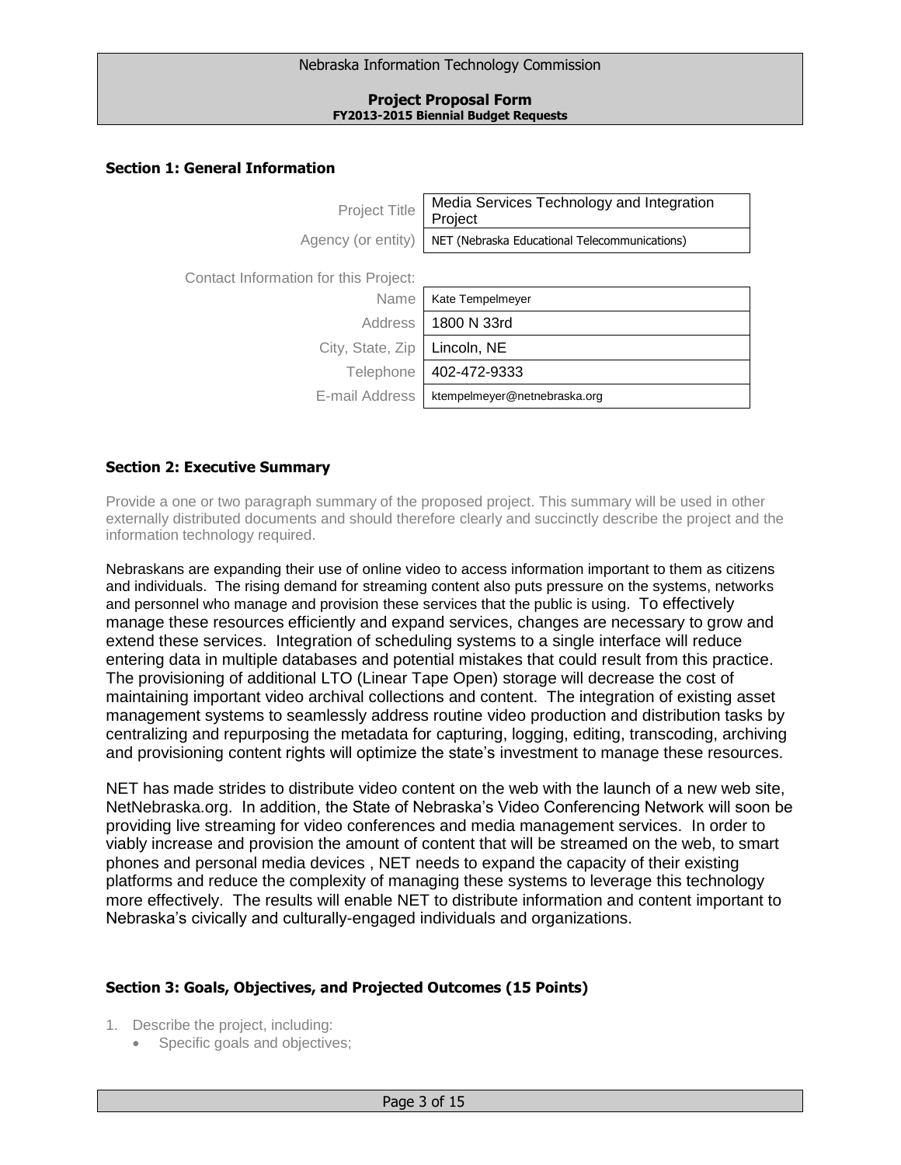Nebraska Information Technology Commission

#### **Project Proposal Form FY2013-2015 Biennial Budget Requests**

# **Section 1: General Information**

| <b>Project Title</b>                  | Media Services Technology and Integration<br>Project |
|---------------------------------------|------------------------------------------------------|
| Agency (or entity)                    | NET (Nebraska Educational Telecommunications)        |
| Contact Information for this Project: |                                                      |
| Name                                  | Kate Tempelmeyer                                     |
| Address                               | 1800 N 33rd                                          |
| City, State, Zip                      | Lincoln, NE                                          |
| Telephone                             | 402-472-9333                                         |
| E-mail Address                        | ktempelmeyer@netnebraska.org                         |
|                                       |                                                      |

# **Section 2: Executive Summary**

Provide a one or two paragraph summary of the proposed project. This summary will be used in other externally distributed documents and should therefore clearly and succinctly describe the project and the information technology required.

Nebraskans are expanding their use of online video to access information important to them as citizens and individuals. The rising demand for streaming content also puts pressure on the systems, networks and personnel who manage and provision these services that the public is using. To effectively manage these resources efficiently and expand services, changes are necessary to grow and extend these services. Integration of scheduling systems to a single interface will reduce entering data in multiple databases and potential mistakes that could result from this practice. The provisioning of additional LTO (Linear Tape Open) storage will decrease the cost of maintaining important video archival collections and content. The integration of existing asset management systems to seamlessly address routine video production and distribution tasks by centralizing and repurposing the metadata for capturing, logging, editing, transcoding, archiving and provisioning content rights will optimize the state's investment to manage these resources.

NET has made strides to distribute video content on the web with the launch of a new web site, NetNebraska.org. In addition, the State of Nebraska's Video Conferencing Network will soon be providing live streaming for video conferences and media management services. In order to viably increase and provision the amount of content that will be streamed on the web, to smart phones and personal media devices , NET needs to expand the capacity of their existing platforms and reduce the complexity of managing these systems to leverage this technology more effectively. The results will enable NET to distribute information and content important to Nebraska's civically and culturally-engaged individuals and organizations.

# **Section 3: Goals, Objectives, and Projected Outcomes (15 Points)**

- 1. Describe the project, including:
	- Specific goals and objectives;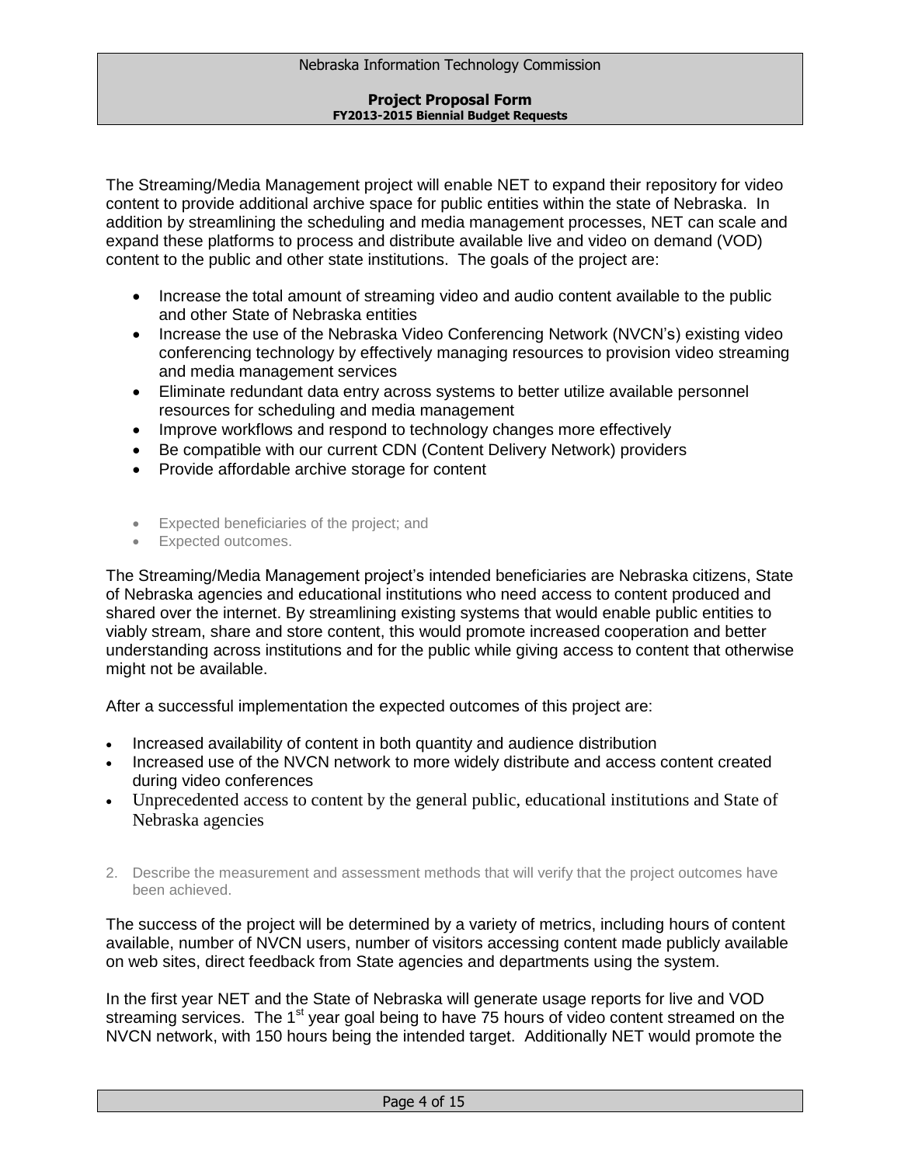The Streaming/Media Management project will enable NET to expand their repository for video content to provide additional archive space for public entities within the state of Nebraska. In addition by streamlining the scheduling and media management processes, NET can scale and expand these platforms to process and distribute available live and video on demand (VOD) content to the public and other state institutions. The goals of the project are:

- Increase the total amount of streaming video and audio content available to the public and other State of Nebraska entities
- Increase the use of the Nebraska Video Conferencing Network (NVCN's) existing video conferencing technology by effectively managing resources to provision video streaming and media management services
- Eliminate redundant data entry across systems to better utilize available personnel resources for scheduling and media management
- Improve workflows and respond to technology changes more effectively
- Be compatible with our current CDN (Content Delivery Network) providers
- Provide affordable archive storage for content
- Expected beneficiaries of the project; and
- Expected outcomes.

The Streaming/Media Management project's intended beneficiaries are Nebraska citizens, State of Nebraska agencies and educational institutions who need access to content produced and shared over the internet. By streamlining existing systems that would enable public entities to viably stream, share and store content, this would promote increased cooperation and better understanding across institutions and for the public while giving access to content that otherwise might not be available.

After a successful implementation the expected outcomes of this project are:

- Increased availability of content in both quantity and audience distribution
- Increased use of the NVCN network to more widely distribute and access content created during video conferences
- Unprecedented access to content by the general public, educational institutions and State of Nebraska agencies
- 2. Describe the measurement and assessment methods that will verify that the project outcomes have been achieved.

The success of the project will be determined by a variety of metrics, including hours of content available, number of NVCN users, number of visitors accessing content made publicly available on web sites, direct feedback from State agencies and departments using the system.

In the first year NET and the State of Nebraska will generate usage reports for live and VOD streaming services. The 1<sup>st</sup> year goal being to have 75 hours of video content streamed on the NVCN network, with 150 hours being the intended target. Additionally NET would promote the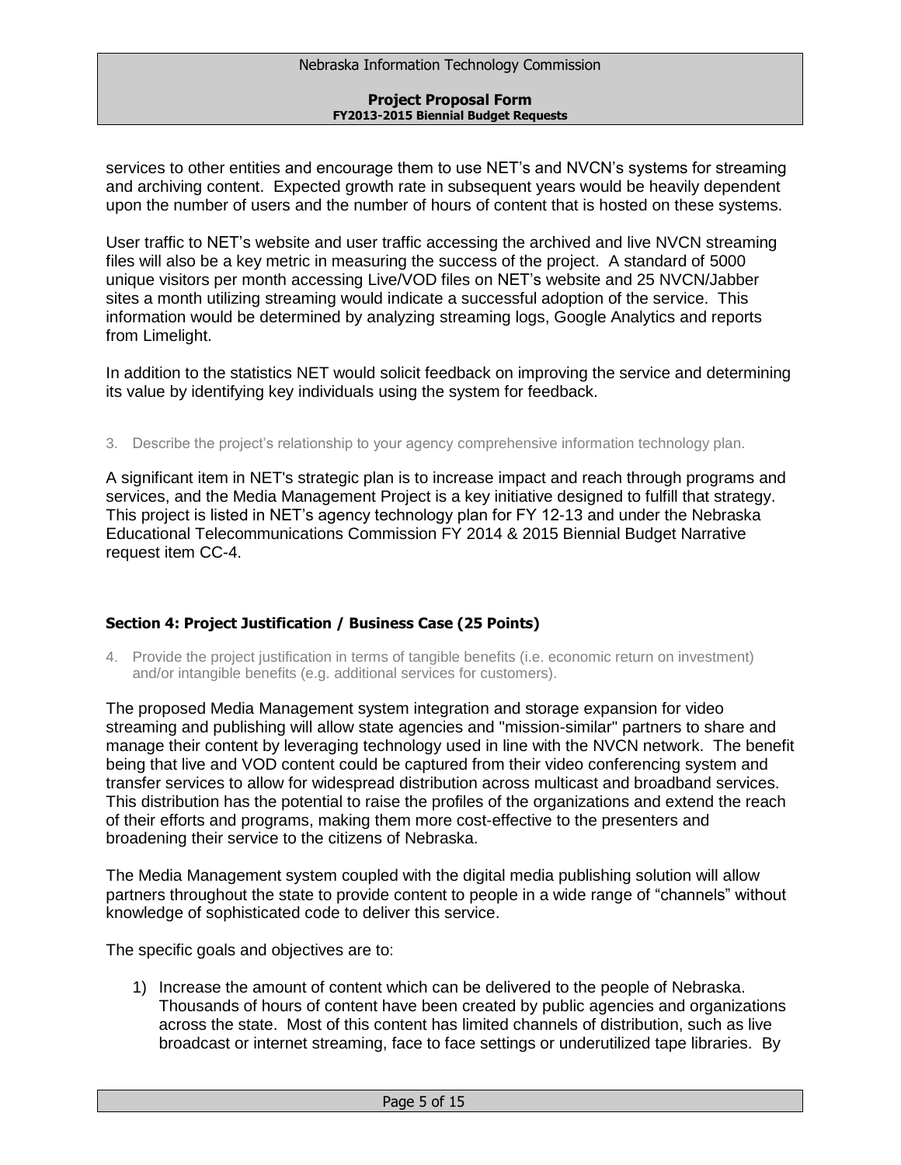services to other entities and encourage them to use NET's and NVCN's systems for streaming and archiving content. Expected growth rate in subsequent years would be heavily dependent upon the number of users and the number of hours of content that is hosted on these systems.

User traffic to NET's website and user traffic accessing the archived and live NVCN streaming files will also be a key metric in measuring the success of the project. A standard of 5000 unique visitors per month accessing Live/VOD files on NET's website and 25 NVCN/Jabber sites a month utilizing streaming would indicate a successful adoption of the service. This information would be determined by analyzing streaming logs, Google Analytics and reports from Limelight.

In addition to the statistics NET would solicit feedback on improving the service and determining its value by identifying key individuals using the system for feedback.

3. Describe the project's relationship to your agency comprehensive information technology plan.

A significant item in NET's strategic plan is to increase impact and reach through programs and services, and the Media Management Project is a key initiative designed to fulfill that strategy. This project is listed in NET's agency technology plan for FY 12-13 and under the Nebraska Educational Telecommunications Commission FY 2014 & 2015 Biennial Budget Narrative request item CC-4.

# **Section 4: Project Justification / Business Case (25 Points)**

4. Provide the project justification in terms of tangible benefits (i.e. economic return on investment) and/or intangible benefits (e.g. additional services for customers).

The proposed Media Management system integration and storage expansion for video streaming and publishing will allow state agencies and "mission-similar" partners to share and manage their content by leveraging technology used in line with the NVCN network. The benefit being that live and VOD content could be captured from their video conferencing system and transfer services to allow for widespread distribution across multicast and broadband services. This distribution has the potential to raise the profiles of the organizations and extend the reach of their efforts and programs, making them more cost-effective to the presenters and broadening their service to the citizens of Nebraska.

The Media Management system coupled with the digital media publishing solution will allow partners throughout the state to provide content to people in a wide range of "channels" without knowledge of sophisticated code to deliver this service.

The specific goals and objectives are to:

1) Increase the amount of content which can be delivered to the people of Nebraska. Thousands of hours of content have been created by public agencies and organizations across the state. Most of this content has limited channels of distribution, such as live broadcast or internet streaming, face to face settings or underutilized tape libraries. By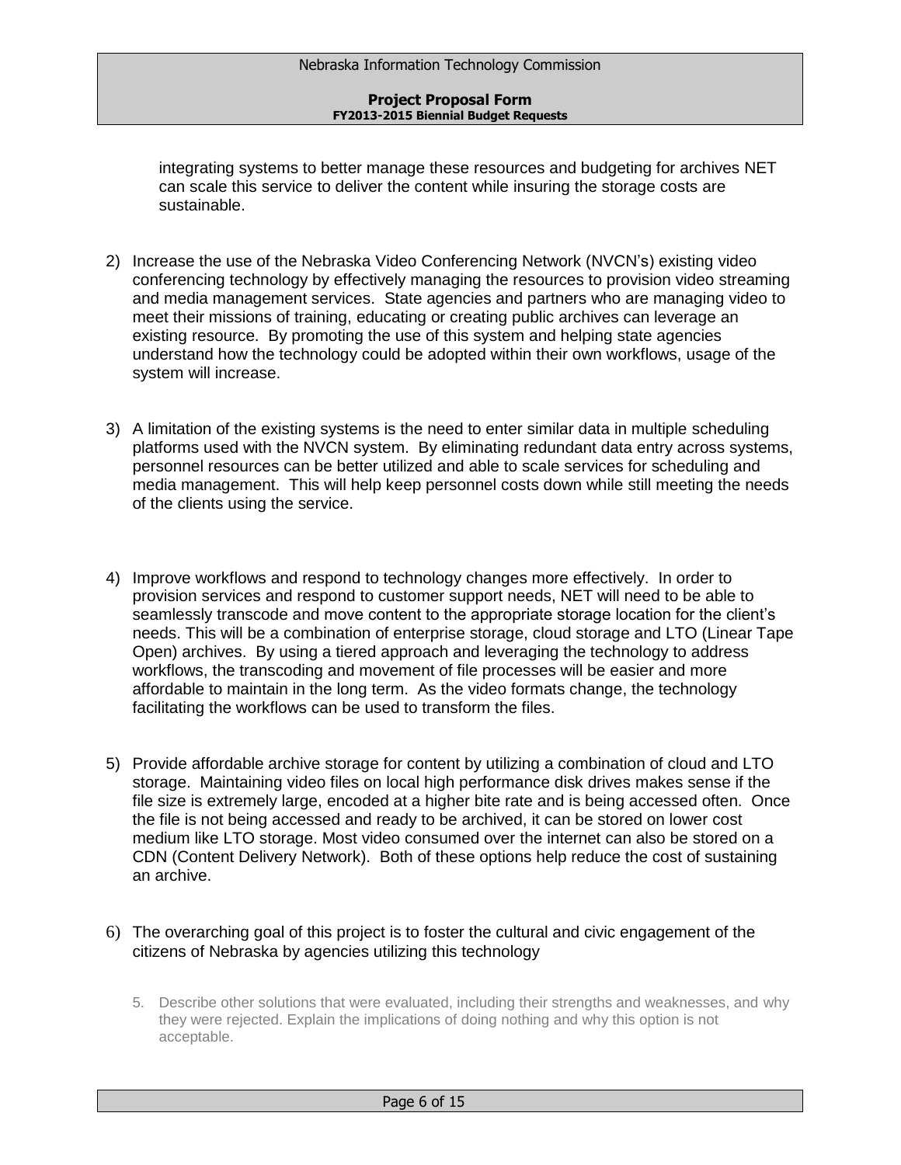integrating systems to better manage these resources and budgeting for archives NET can scale this service to deliver the content while insuring the storage costs are sustainable.

- 2) Increase the use of the Nebraska Video Conferencing Network (NVCN's) existing video conferencing technology by effectively managing the resources to provision video streaming and media management services. State agencies and partners who are managing video to meet their missions of training, educating or creating public archives can leverage an existing resource. By promoting the use of this system and helping state agencies understand how the technology could be adopted within their own workflows, usage of the system will increase.
- 3) A limitation of the existing systems is the need to enter similar data in multiple scheduling platforms used with the NVCN system. By eliminating redundant data entry across systems, personnel resources can be better utilized and able to scale services for scheduling and media management. This will help keep personnel costs down while still meeting the needs of the clients using the service.
- 4) Improve workflows and respond to technology changes more effectively. In order to provision services and respond to customer support needs, NET will need to be able to seamlessly transcode and move content to the appropriate storage location for the client's needs. This will be a combination of enterprise storage, cloud storage and LTO (Linear Tape Open) archives. By using a tiered approach and leveraging the technology to address workflows, the transcoding and movement of file processes will be easier and more affordable to maintain in the long term. As the video formats change, the technology facilitating the workflows can be used to transform the files.
- 5) Provide affordable archive storage for content by utilizing a combination of cloud and LTO storage. Maintaining video files on local high performance disk drives makes sense if the file size is extremely large, encoded at a higher bite rate and is being accessed often. Once the file is not being accessed and ready to be archived, it can be stored on lower cost medium like LTO storage. Most video consumed over the internet can also be stored on a CDN (Content Delivery Network). Both of these options help reduce the cost of sustaining an archive.
- 6) The overarching goal of this project is to foster the cultural and civic engagement of the citizens of Nebraska by agencies utilizing this technology
	- 5. Describe other solutions that were evaluated, including their strengths and weaknesses, and why they were rejected. Explain the implications of doing nothing and why this option is not acceptable.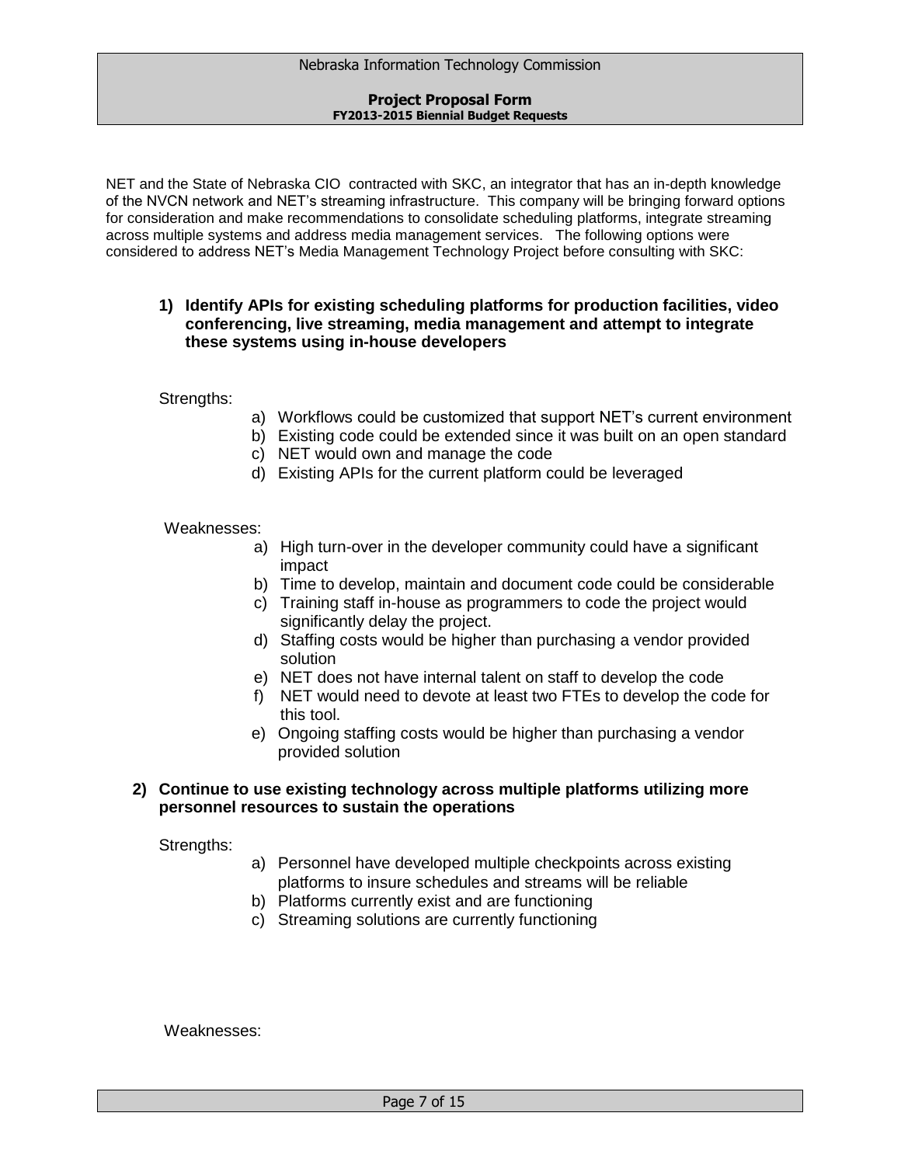NET and the State of Nebraska CIO contracted with SKC, an integrator that has an in-depth knowledge of the NVCN network and NET's streaming infrastructure. This company will be bringing forward options for consideration and make recommendations to consolidate scheduling platforms, integrate streaming across multiple systems and address media management services. The following options were considered to address NET's Media Management Technology Project before consulting with SKC:

# **1) Identify APIs for existing scheduling platforms for production facilities, video conferencing, live streaming, media management and attempt to integrate these systems using in-house developers**

# Strengths:

- a) Workflows could be customized that support NET's current environment
- b) Existing code could be extended since it was built on an open standard
- c) NET would own and manage the code
- d) Existing APIs for the current platform could be leveraged

# Weaknesses:

- a) High turn-over in the developer community could have a significant impact
- b) Time to develop, maintain and document code could be considerable
- c) Training staff in-house as programmers to code the project would significantly delay the project.
- d) Staffing costs would be higher than purchasing a vendor provided solution
- e) NET does not have internal talent on staff to develop the code
- f) NET would need to devote at least two FTEs to develop the code for this tool.
- e) Ongoing staffing costs would be higher than purchasing a vendor provided solution

# **2) Continue to use existing technology across multiple platforms utilizing more personnel resources to sustain the operations**

Strengths:

- a) Personnel have developed multiple checkpoints across existing platforms to insure schedules and streams will be reliable
- b) Platforms currently exist and are functioning
- c) Streaming solutions are currently functioning

Weaknesses: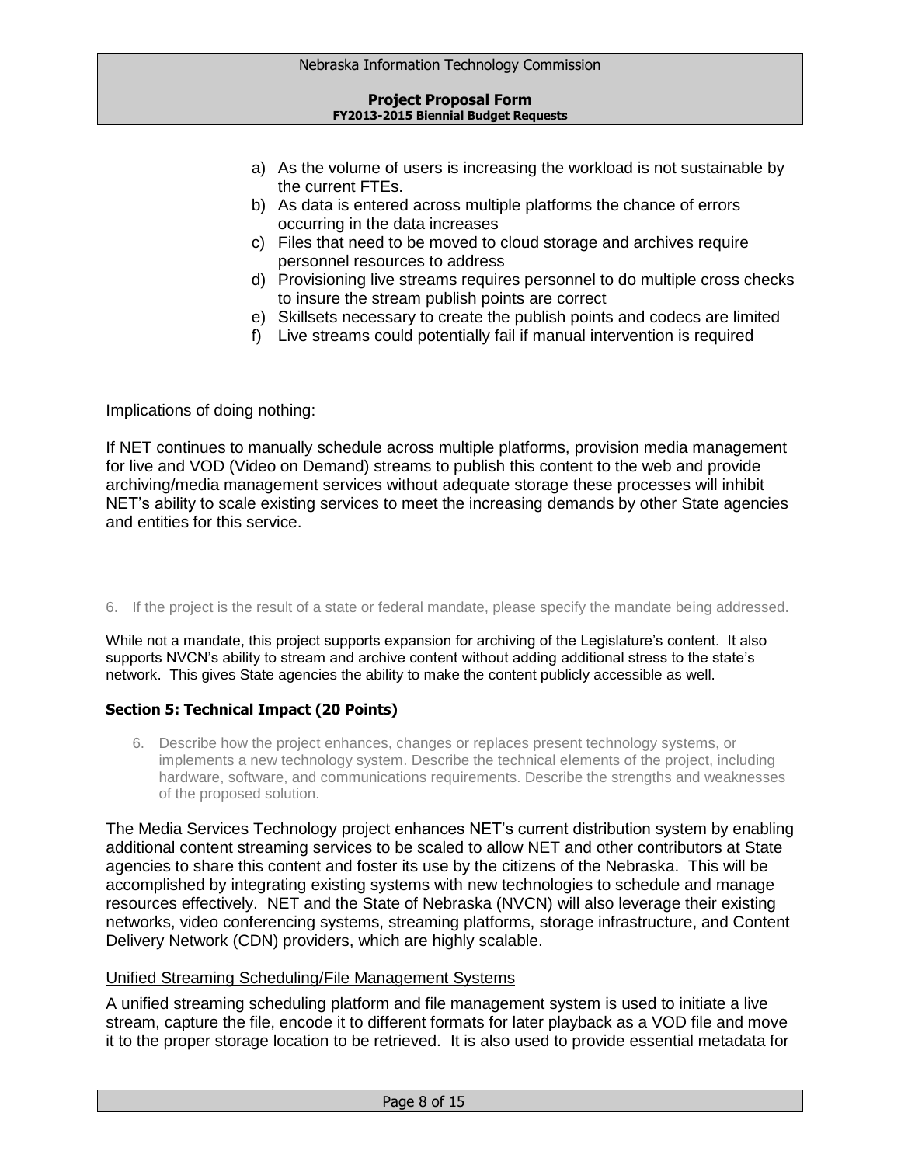- a) As the volume of users is increasing the workload is not sustainable by the current FTEs.
- b) As data is entered across multiple platforms the chance of errors occurring in the data increases
- c) Files that need to be moved to cloud storage and archives require personnel resources to address
- d) Provisioning live streams requires personnel to do multiple cross checks to insure the stream publish points are correct
- e) Skillsets necessary to create the publish points and codecs are limited
- f) Live streams could potentially fail if manual intervention is required

Implications of doing nothing:

If NET continues to manually schedule across multiple platforms, provision media management for live and VOD (Video on Demand) streams to publish this content to the web and provide archiving/media management services without adequate storage these processes will inhibit NET's ability to scale existing services to meet the increasing demands by other State agencies and entities for this service.

# 6. If the project is the result of a state or federal mandate, please specify the mandate being addressed.

While not a mandate, this project supports expansion for archiving of the Legislature's content. It also supports NVCN's ability to stream and archive content without adding additional stress to the state's network. This gives State agencies the ability to make the content publicly accessible as well.

# **Section 5: Technical Impact (20 Points)**

6. Describe how the project enhances, changes or replaces present technology systems, or implements a new technology system. Describe the technical elements of the project, including hardware, software, and communications requirements. Describe the strengths and weaknesses of the proposed solution.

The Media Services Technology project enhances NET's current distribution system by enabling additional content streaming services to be scaled to allow NET and other contributors at State agencies to share this content and foster its use by the citizens of the Nebraska. This will be accomplished by integrating existing systems with new technologies to schedule and manage resources effectively. NET and the State of Nebraska (NVCN) will also leverage their existing networks, video conferencing systems, streaming platforms, storage infrastructure, and Content Delivery Network (CDN) providers, which are highly scalable.

# Unified Streaming Scheduling/File Management Systems

A unified streaming scheduling platform and file management system is used to initiate a live stream, capture the file, encode it to different formats for later playback as a VOD file and move it to the proper storage location to be retrieved. It is also used to provide essential metadata for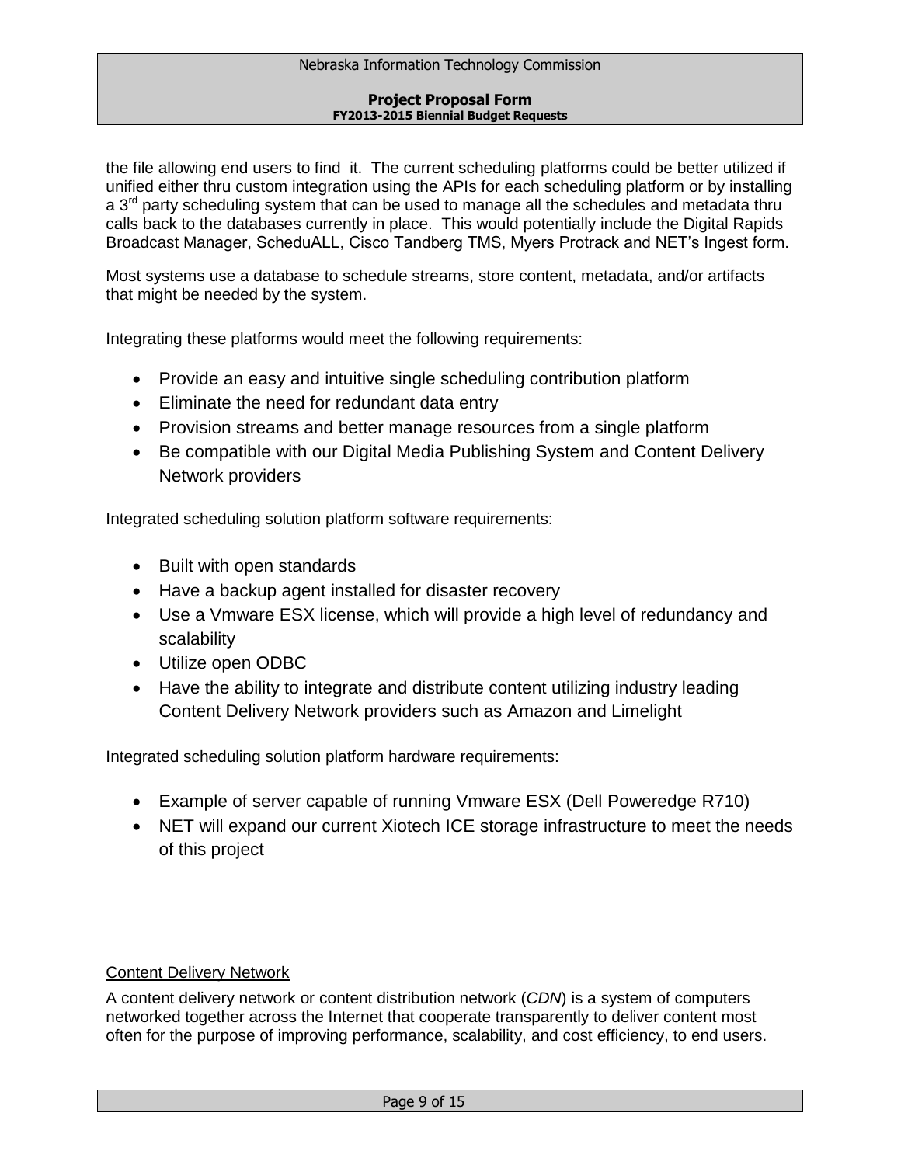the file allowing end users to find it. The current scheduling platforms could be better utilized if unified either thru custom integration using the APIs for each scheduling platform or by installing  $a$  3<sup>rd</sup> party scheduling system that can be used to manage all the schedules and metadata thru calls back to the databases currently in place. This would potentially include the Digital Rapids Broadcast Manager, ScheduALL, Cisco Tandberg TMS, Myers Protrack and NET's Ingest form.

Most systems use a database to schedule streams, store content, metadata, and/or artifacts that might be needed by the system.

Integrating these platforms would meet the following requirements:

- Provide an easy and intuitive single scheduling contribution platform
- Eliminate the need for redundant data entry
- Provision streams and better manage resources from a single platform
- Be compatible with our Digital Media Publishing System and Content Delivery Network providers

Integrated scheduling solution platform software requirements:

- Built with open standards
- Have a backup agent installed for disaster recovery
- Use a Vmware ESX license, which will provide a high level of redundancy and scalability
- Utilize open ODBC
- Have the ability to integrate and distribute content utilizing industry leading Content Delivery Network providers such as Amazon and Limelight

Integrated scheduling solution platform hardware requirements:

- Example of server capable of running Vmware ESX (Dell Poweredge R710)
- NET will expand our current Xiotech ICE storage infrastructure to meet the needs of this project

# Content Delivery Network

A content delivery network or content distribution network (*CDN*) is a system of computers networked together across the Internet that cooperate transparently to deliver content most often for the purpose of improving performance, scalability, and cost efficiency, to end users.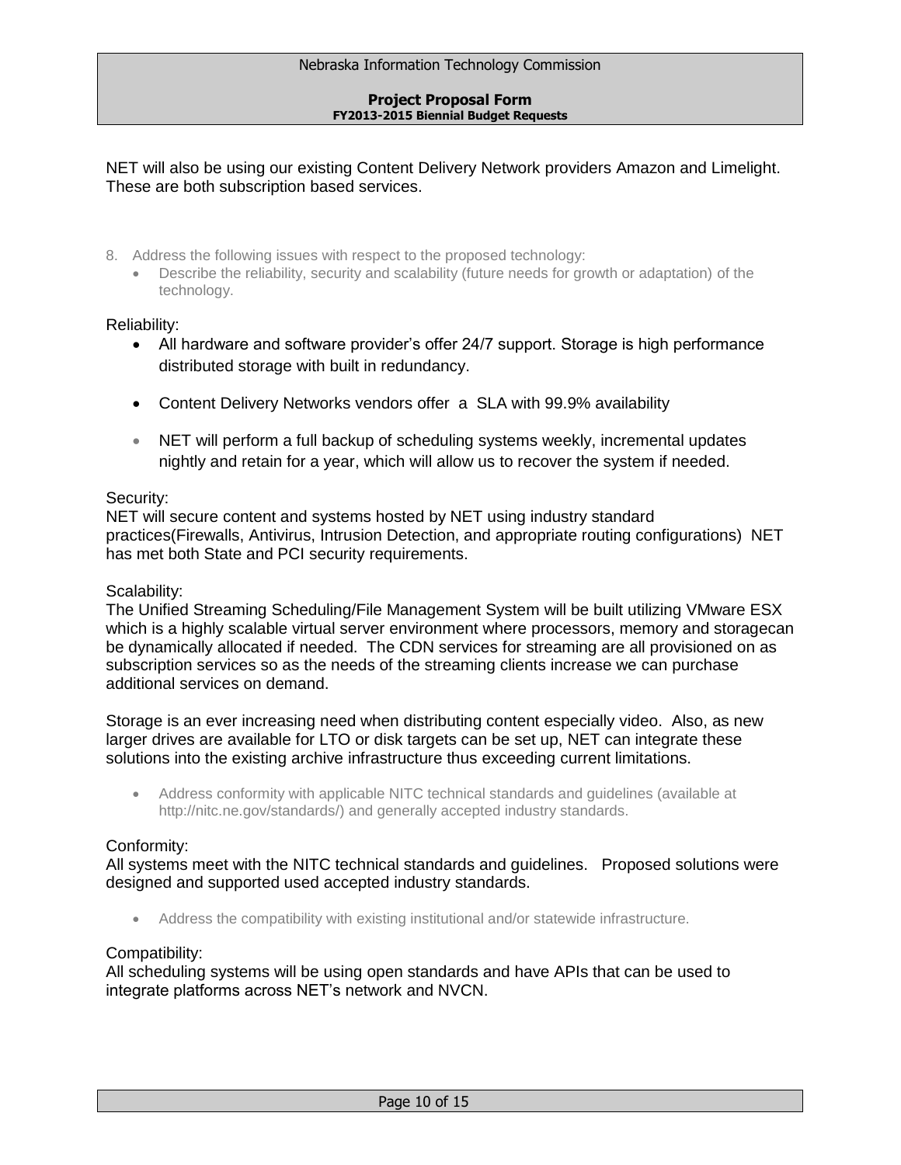NET will also be using our existing Content Delivery Network providers Amazon and Limelight. These are both subscription based services.

- 8. Address the following issues with respect to the proposed technology:
	- Describe the reliability, security and scalability (future needs for growth or adaptation) of the technology.

# Reliability:

- All hardware and software provider's offer 24/7 support. Storage is high performance distributed storage with built in redundancy.
- Content Delivery Networks vendors offer a SLA with 99.9% availability
- NET will perform a full backup of scheduling systems weekly, incremental updates nightly and retain for a year, which will allow us to recover the system if needed.

# Security:

NET will secure content and systems hosted by NET using industry standard practices(Firewalls, Antivirus, Intrusion Detection, and appropriate routing configurations) NET has met both State and PCI security requirements.

# Scalability:

The Unified Streaming Scheduling/File Management System will be built utilizing VMware ESX which is a highly scalable virtual server environment where processors, memory and storagecan be dynamically allocated if needed. The CDN services for streaming are all provisioned on as subscription services so as the needs of the streaming clients increase we can purchase additional services on demand.

Storage is an ever increasing need when distributing content especially video. Also, as new larger drives are available for LTO or disk targets can be set up, NET can integrate these solutions into the existing archive infrastructure thus exceeding current limitations.

 Address conformity with applicable NITC technical standards and guidelines (available at http://nitc.ne.gov/standards/) and generally accepted industry standards.

# Conformity:

All systems meet with the NITC technical standards and guidelines. Proposed solutions were designed and supported used accepted industry standards.

Address the compatibility with existing institutional and/or statewide infrastructure.

# Compatibility:

All scheduling systems will be using open standards and have APIs that can be used to integrate platforms across NET's network and NVCN.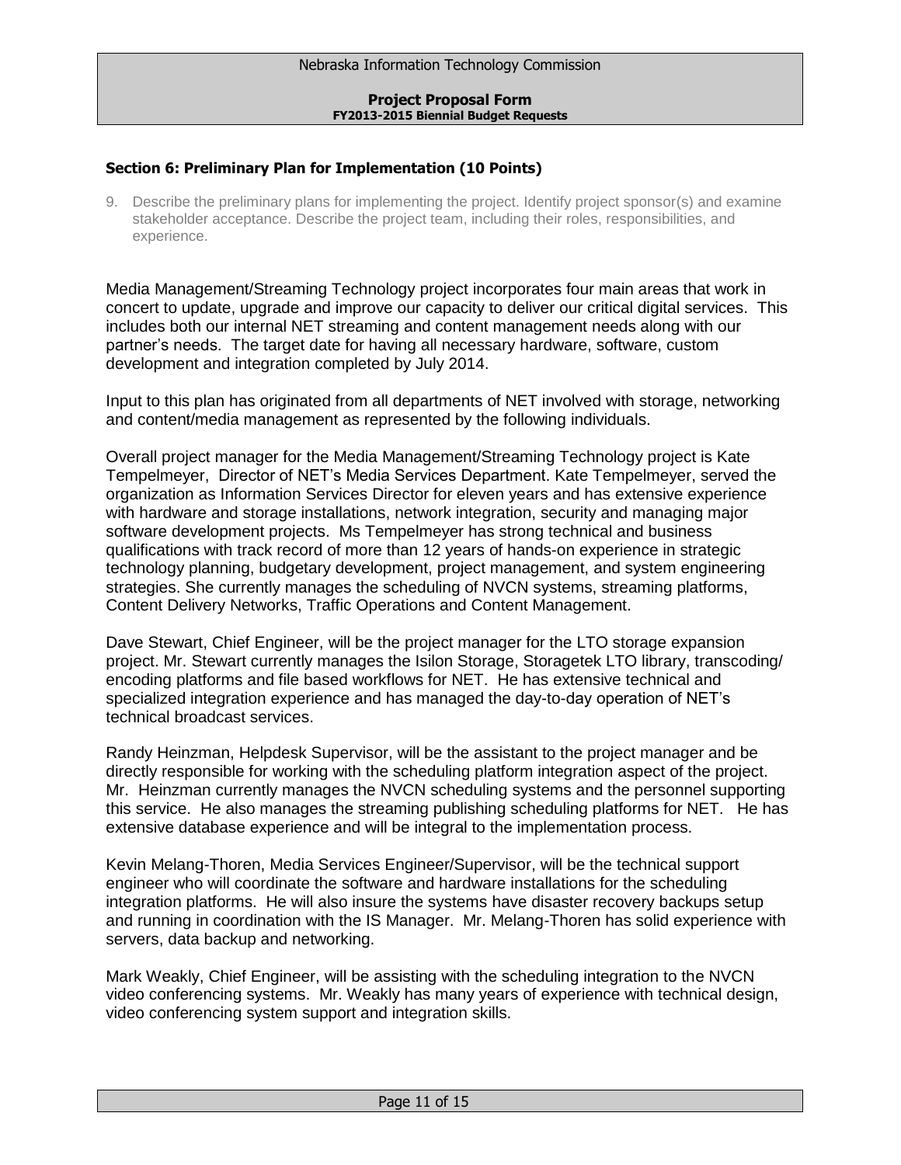# **Section 6: Preliminary Plan for Implementation (10 Points)**

9. Describe the preliminary plans for implementing the project. Identify project sponsor(s) and examine stakeholder acceptance. Describe the project team, including their roles, responsibilities, and experience.

Media Management/Streaming Technology project incorporates four main areas that work in concert to update, upgrade and improve our capacity to deliver our critical digital services. This includes both our internal NET streaming and content management needs along with our partner's needs. The target date for having all necessary hardware, software, custom development and integration completed by July 2014.

Input to this plan has originated from all departments of NET involved with storage, networking and content/media management as represented by the following individuals.

Overall project manager for the Media Management/Streaming Technology project is Kate Tempelmeyer, Director of NET's Media Services Department. Kate Tempelmeyer, served the organization as Information Services Director for eleven years and has extensive experience with hardware and storage installations, network integration, security and managing major software development projects. Ms Tempelmeyer has strong technical and business qualifications with track record of more than 12 years of hands-on experience in strategic technology planning, budgetary development, project management, and system engineering strategies. She currently manages the scheduling of NVCN systems, streaming platforms, Content Delivery Networks, Traffic Operations and Content Management.

Dave Stewart, Chief Engineer, will be the project manager for the LTO storage expansion project. Mr. Stewart currently manages the Isilon Storage, Storagetek LTO library, transcoding/ encoding platforms and file based workflows for NET. He has extensive technical and specialized integration experience and has managed the day-to-day operation of NET's technical broadcast services.

Randy Heinzman, Helpdesk Supervisor, will be the assistant to the project manager and be directly responsible for working with the scheduling platform integration aspect of the project. Mr. Heinzman currently manages the NVCN scheduling systems and the personnel supporting this service. He also manages the streaming publishing scheduling platforms for NET. He has extensive database experience and will be integral to the implementation process.

Kevin Melang-Thoren, Media Services Engineer/Supervisor, will be the technical support engineer who will coordinate the software and hardware installations for the scheduling integration platforms. He will also insure the systems have disaster recovery backups setup and running in coordination with the IS Manager. Mr. Melang-Thoren has solid experience with servers, data backup and networking.

Mark Weakly, Chief Engineer, will be assisting with the scheduling integration to the NVCN video conferencing systems. Mr. Weakly has many years of experience with technical design, video conferencing system support and integration skills.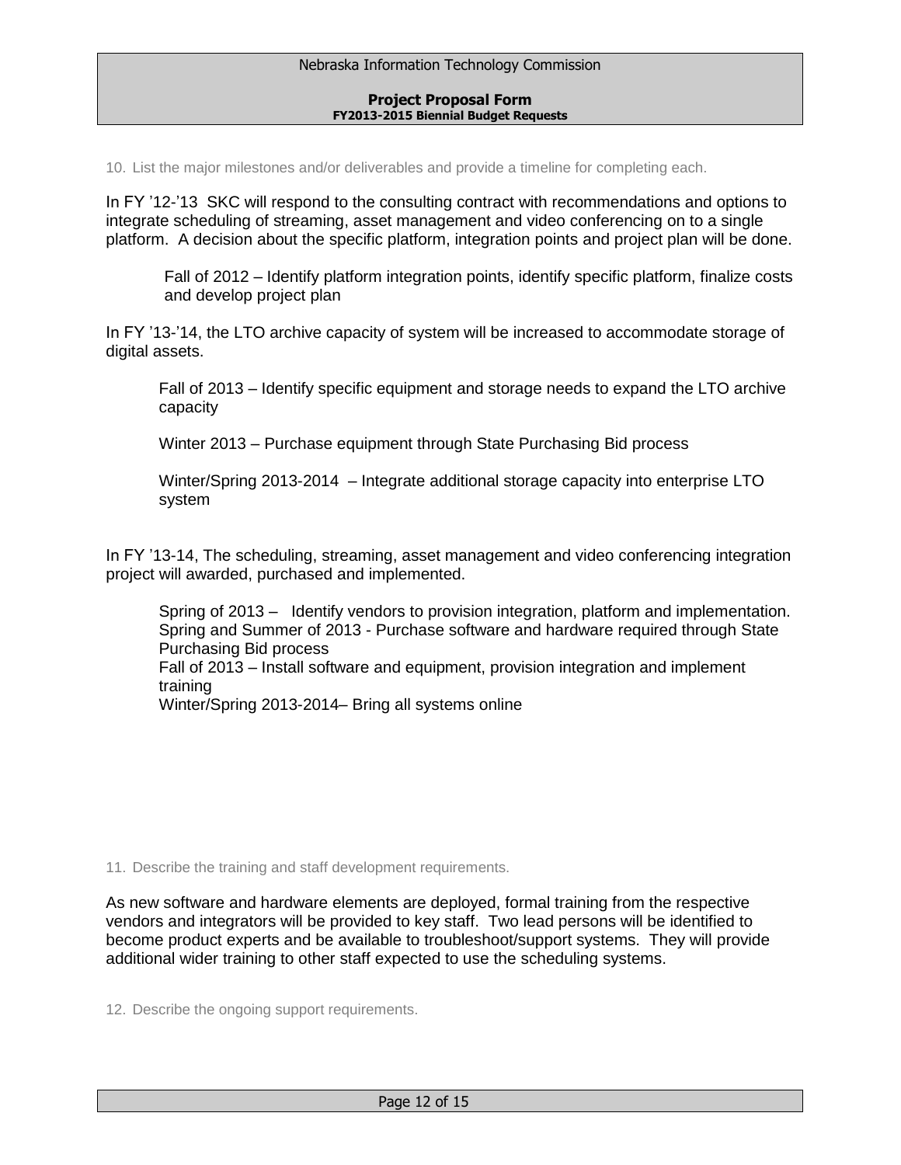10. List the major milestones and/or deliverables and provide a timeline for completing each.

In FY '12-'13 SKC will respond to the consulting contract with recommendations and options to integrate scheduling of streaming, asset management and video conferencing on to a single platform. A decision about the specific platform, integration points and project plan will be done.

Fall of 2012 – Identify platform integration points, identify specific platform, finalize costs and develop project plan

In FY '13-'14, the LTO archive capacity of system will be increased to accommodate storage of digital assets.

Fall of 2013 – Identify specific equipment and storage needs to expand the LTO archive capacity

Winter 2013 – Purchase equipment through State Purchasing Bid process

Winter/Spring 2013-2014 – Integrate additional storage capacity into enterprise LTO system

In FY '13-14, The scheduling, streaming, asset management and video conferencing integration project will awarded, purchased and implemented.

Spring of 2013 – Identify vendors to provision integration, platform and implementation. Spring and Summer of 2013 - Purchase software and hardware required through State Purchasing Bid process Fall of 2013 – Install software and equipment, provision integration and implement training

Winter/Spring 2013-2014– Bring all systems online

11. Describe the training and staff development requirements.

As new software and hardware elements are deployed, formal training from the respective vendors and integrators will be provided to key staff. Two lead persons will be identified to become product experts and be available to troubleshoot/support systems. They will provide additional wider training to other staff expected to use the scheduling systems.

12. Describe the ongoing support requirements.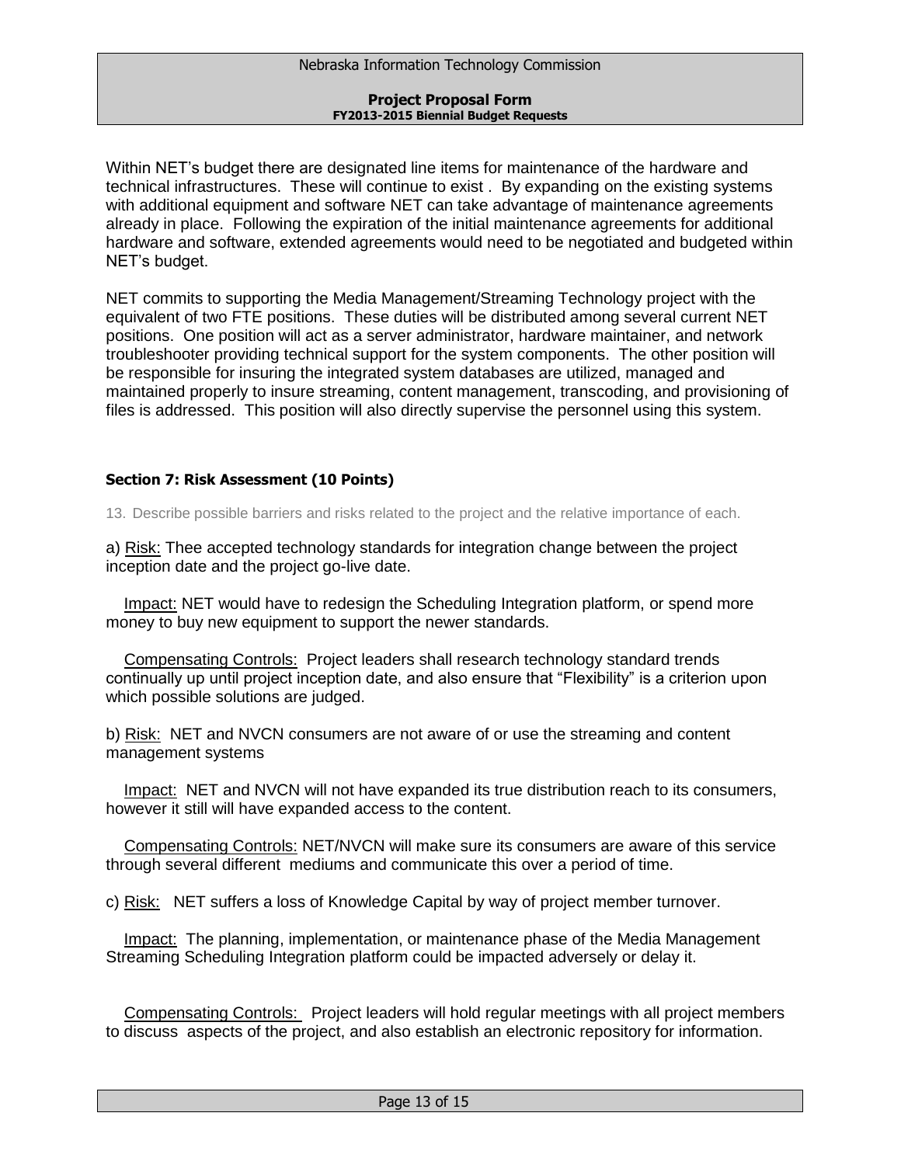Within NET's budget there are designated line items for maintenance of the hardware and technical infrastructures. These will continue to exist . By expanding on the existing systems with additional equipment and software NET can take advantage of maintenance agreements already in place. Following the expiration of the initial maintenance agreements for additional hardware and software, extended agreements would need to be negotiated and budgeted within NET's budget.

NET commits to supporting the Media Management/Streaming Technology project with the equivalent of two FTE positions. These duties will be distributed among several current NET positions. One position will act as a server administrator, hardware maintainer, and network troubleshooter providing technical support for the system components. The other position will be responsible for insuring the integrated system databases are utilized, managed and maintained properly to insure streaming, content management, transcoding, and provisioning of files is addressed. This position will also directly supervise the personnel using this system.

# **Section 7: Risk Assessment (10 Points)**

13. Describe possible barriers and risks related to the project and the relative importance of each.

a) Risk: Thee accepted technology standards for integration change between the project inception date and the project go-live date.

 Impact: NET would have to redesign the Scheduling Integration platform, or spend more money to buy new equipment to support the newer standards.

 Compensating Controls: Project leaders shall research technology standard trends continually up until project inception date, and also ensure that "Flexibility" is a criterion upon which possible solutions are judged.

b) Risk: NET and NVCN consumers are not aware of or use the streaming and content management systems

 Impact: NET and NVCN will not have expanded its true distribution reach to its consumers, however it still will have expanded access to the content.

 Compensating Controls: NET/NVCN will make sure its consumers are aware of this service through several different mediums and communicate this over a period of time.

c) Risk: NET suffers a loss of Knowledge Capital by way of project member turnover.

Impact: The planning, implementation, or maintenance phase of the Media Management Streaming Scheduling Integration platform could be impacted adversely or delay it.

 Compensating Controls: Project leaders will hold regular meetings with all project members to discuss aspects of the project, and also establish an electronic repository for information.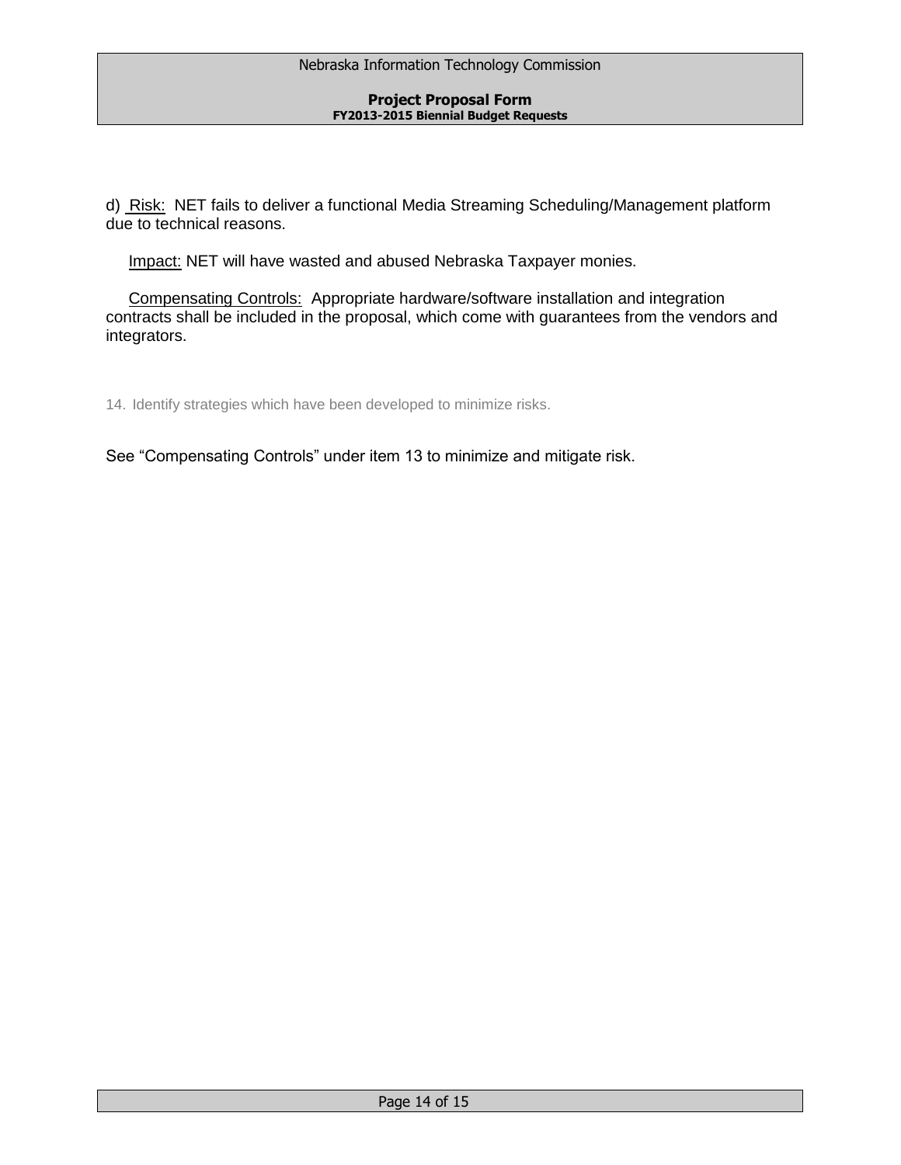d) Risk: NET fails to deliver a functional Media Streaming Scheduling/Management platform due to technical reasons.

Impact: NET will have wasted and abused Nebraska Taxpayer monies.

 Compensating Controls: Appropriate hardware/software installation and integration contracts shall be included in the proposal, which come with guarantees from the vendors and integrators.

14. Identify strategies which have been developed to minimize risks.

See "Compensating Controls" under item 13 to minimize and mitigate risk.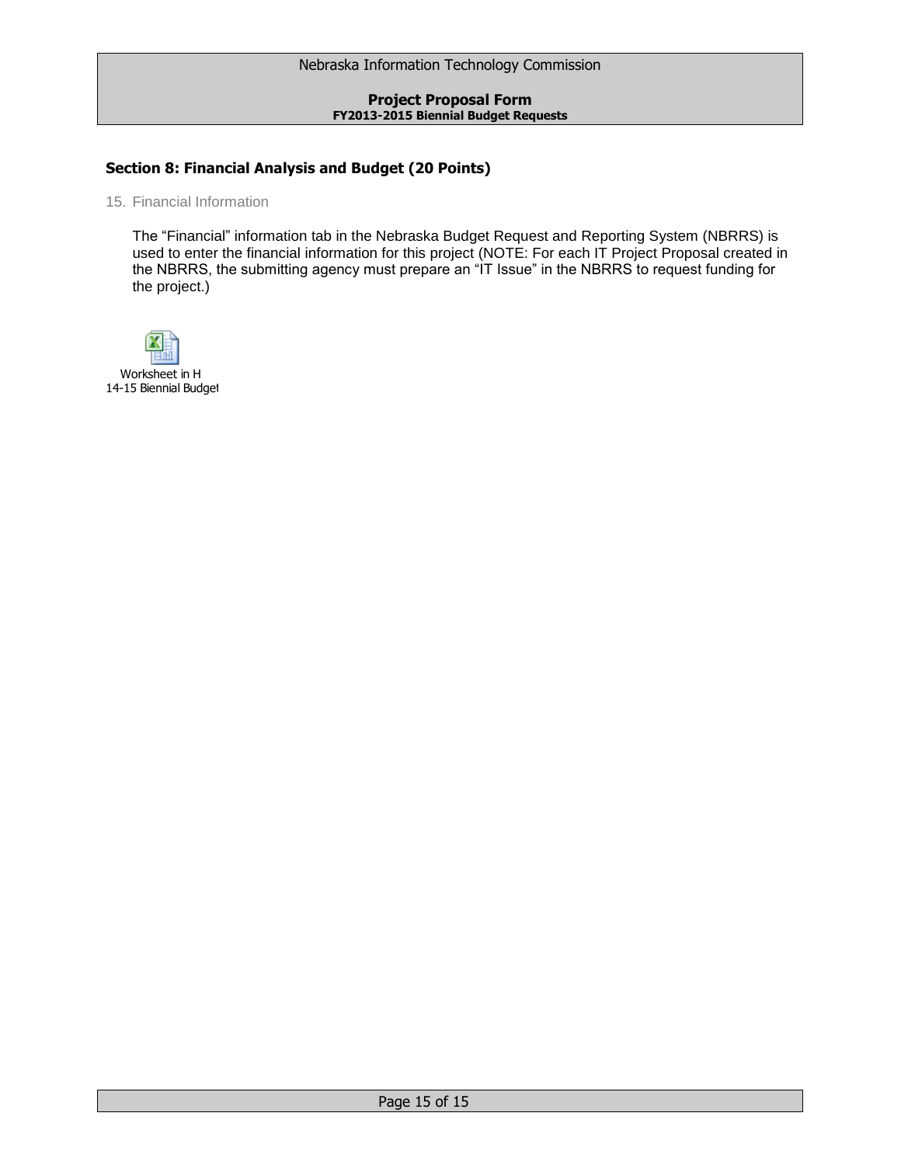# **Section 8: Financial Analysis and Budget (20 Points)**

15. Financial Information

The "Financial" information tab in the Nebraska Budget Request and Reporting System (NBRRS) is used to enter the financial information for this project (NOTE: For each IT Project Proposal created in the NBRRS, the submitting agency must prepare an "IT Issue" in the NBRRS to request funding for the project.)



Worksheet in H 14-15 Biennial Budget